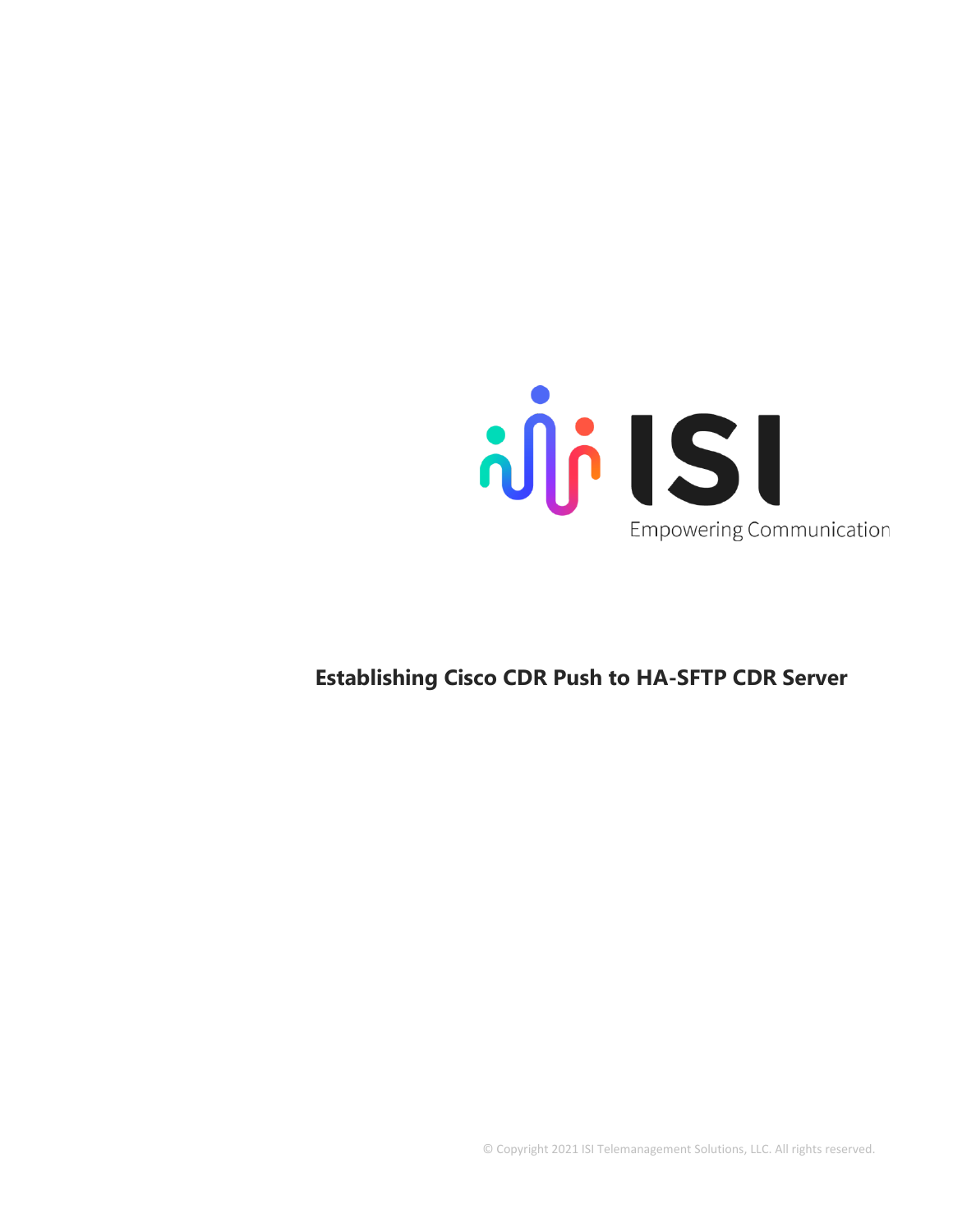

## **Establishing Cisco CDR Push to HA-SFTP CDR Server**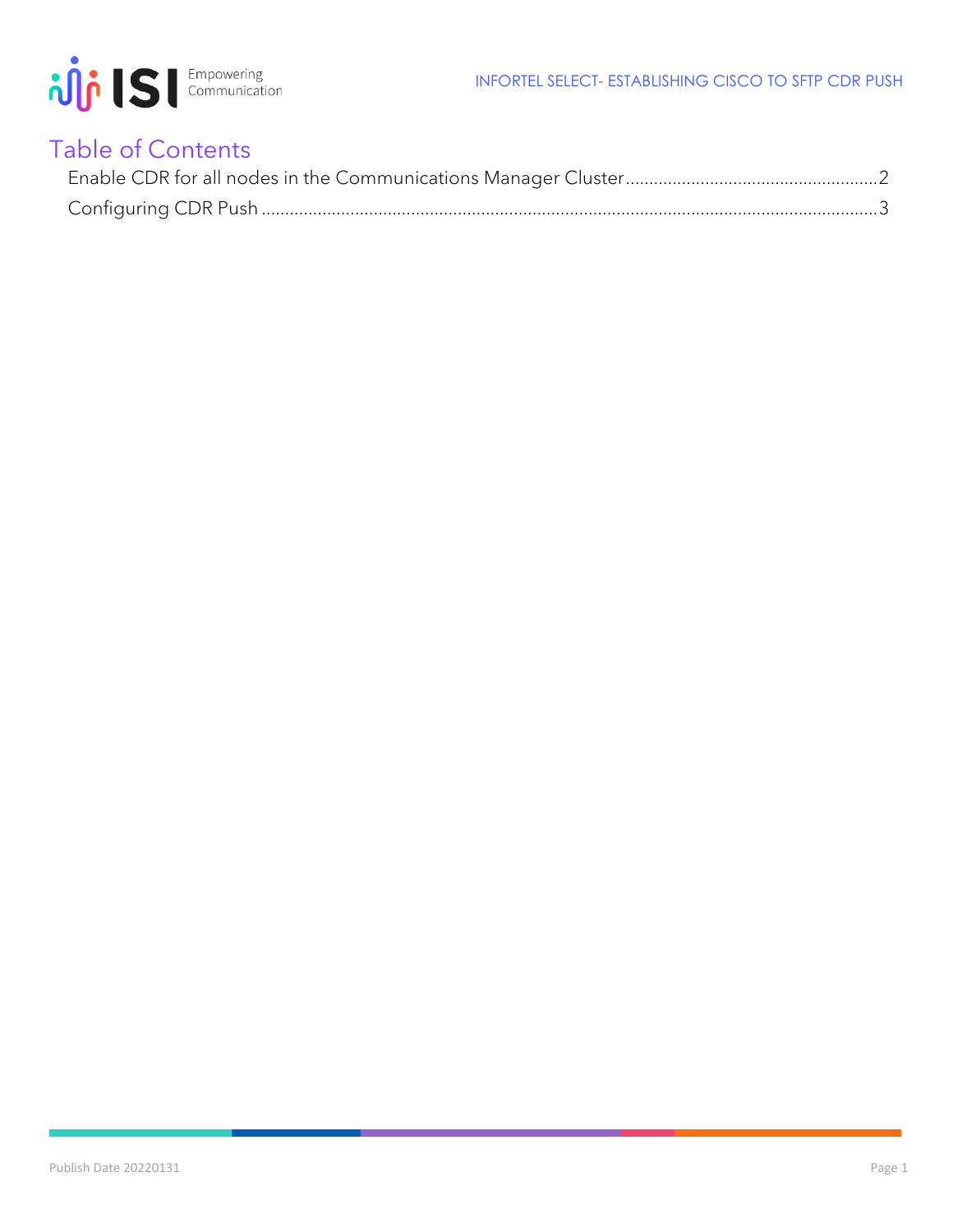

## Table of Contents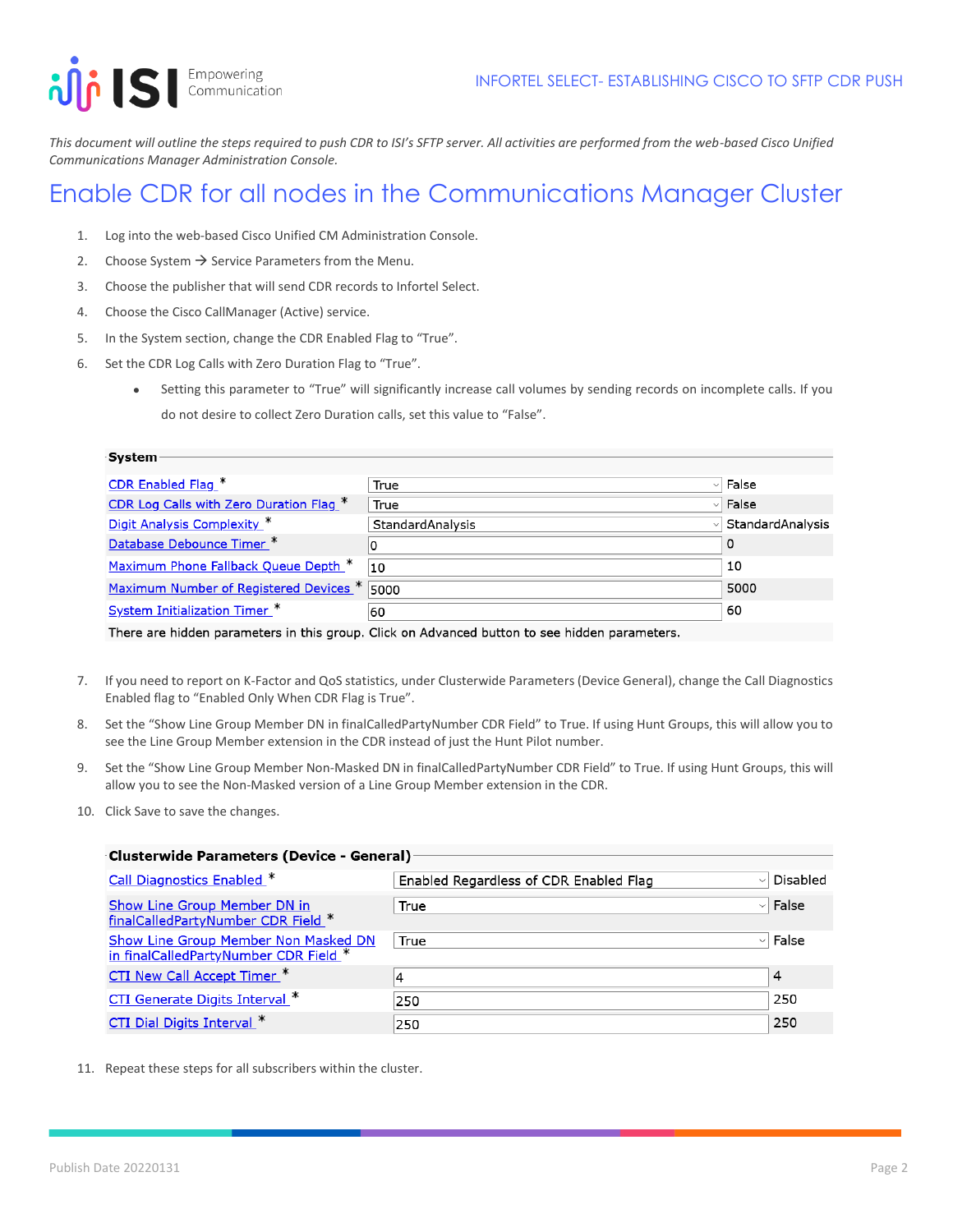Empowering<br>Communication illi IS

System -

*This document will outline the steps required to push CDR to ISI's SFTP server. All activities are performed from the web-based Cisco Unified Communications Manager Administration Console.*

## <span id="page-2-0"></span>Enable CDR for all nodes in the Communications Manager Cluster

- 1. Log into the web-based Cisco Unified CM Administration Console.
- 2. Choose System  $\rightarrow$  Service Parameters from the Menu.
- 3. Choose the publisher that will send CDR records to Infortel Select.
- 4. Choose the Cisco CallManager (Active) service.
- 5. In the System section, change the CDR Enabled Flag to "True".
- 6. Set the CDR Log Calls with Zero Duration Flag to "True".
	- Setting this parameter to "True" will significantly increase call volumes by sending records on incomplete calls. If you do not desire to collect Zero Duration calls, set this value to "False".

| <b>SYSLEIN</b>                                      |                  |                  |
|-----------------------------------------------------|------------------|------------------|
| CDR Enabled Flag.*                                  | True             | False            |
| CDR Log Calls with Zero Duration Flag. <sup>*</sup> | True<br>vl       | False            |
| Digit Analysis Complexity *                         | StandardAnalysis | StandardAnalysis |
| Database Debounce Timer *                           |                  | 0                |
| Maximum Phone Fallback Queue Depth. <sup>*</sup>    | 10               | 10               |
| Maximum Number of Registered Devices * 5000         |                  | 5000             |
| System Initialization Timer *                       | 60               | 60               |

There are hidden parameters in this group. Click on Advanced button to see hidden parameters.

- 7. If you need to report on K-Factor and QoS statistics, under Clusterwide Parameters (Device General), change the Call Diagnostics Enabled flag to "Enabled Only When CDR Flag is True".
- 8. Set the "Show Line Group Member DN in finalCalledPartyNumber CDR Field" to True. If using Hunt Groups, this will allow you to see the Line Group Member extension in the CDR instead of just the Hunt Pilot number.
- 9. Set the "Show Line Group Member Non-Masked DN in finalCalledPartyNumber CDR Field" to True. If using Hunt Groups, this will allow you to see the Non-Masked version of a Line Group Member extension in the CDR.
- 10. Click Save to save the changes.

| <b>Clusterwide Parameters (Device - General)</b>                                     |                                                        |              |  |  |  |
|--------------------------------------------------------------------------------------|--------------------------------------------------------|--------------|--|--|--|
|                                                                                      |                                                        |              |  |  |  |
| <b>Call Diagnostics Enabled *</b>                                                    | Enabled Regardless of CDR Enabled Flag<br>$\checkmark$ | Disabled     |  |  |  |
| Show Line Group Member DN in<br>finalCalledPartyNumber CDR Field *                   | True<br>$\vee$                                         | False        |  |  |  |
| <b>Show Line Group Member Non Masked DN</b><br>in finalCalledPartyNumber CDR Field * | True                                                   | $\vee$ False |  |  |  |
| <b>CTI New Call Accept Timer_*</b>                                                   | 4                                                      | 4            |  |  |  |
| CTI Generate Digits Interval *                                                       | 250                                                    | 250          |  |  |  |
| CTI Dial Digits Interval *                                                           | 250                                                    | 250          |  |  |  |

11. Repeat these steps for all subscribers within the cluster.